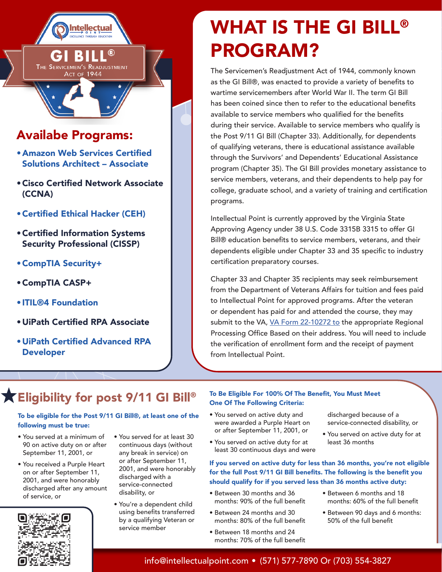

•Amazon Web Services Certified Solutions Architect – Associate

**Intellectual** 

THE SERVICEMEN'S READJUSTMENT Аст оғ 1944

 $\circledR$ 

- •Cisco Certified Network Associate (CCNA)
- •Certified Ethical Hacker (CEH)
- •Certified Information Systems Security Professional (CISSP)
- •CompTIA Security+
- •CompTIA CASP+
- ITIL®4 Foundation
- •UiPath Certified RPA Associate
- •UiPath Certified Advanced RPA Developer

# WHAT IS THE GI BILL® PROGRAM?

The Servicemen's Readjustment Act of 1944, commonly known as the GI Bill®, was enacted to provide a variety of benefits to wartime servicemembers after World War II. The term GI Bill has been coined since then to refer to the educational benefits available to service members who qualified for the benefits during their service. Available to service members who qualify is the Post 9/11 GI Bill (Chapter 33). Additionally, for dependents of qualifying veterans, there is educational assistance available through the Survivors' and Dependents' Educational Assistance program (Chapter 35). The GI Bill provides monetary assistance to service members, veterans, and their dependents to help pay for college, graduate school, and a variety of training and certification programs.

Intellectual Point is currently approved by the Virginia State Approving Agency under 38 U.S. Code 3315B 3315 to offer GI Bill® education benefits to service members, veterans, and their dependents eligible under Chapter 33 and 35 specific to industry certification preparatory courses.

Chapter 33 and Chapter 35 recipients may seek reimbursement from the Department of Veterans Affairs for tuition and fees paid to Intellectual Point for approved programs. After the veteran or dependent has paid for and attended the course, they may submit to the VA, [VA Form 22-10272 to](https://www.vba.va.gov/pubs/forms/VBA-22-10272-ARE.pdf) the appropriate Regional Processing Office Based on their address. You will need to include the verification of enrollment form and the receipt of payment from Intellectual Point.

# Eligibility for post 9/11 GI Bill®

#### To be eligible for the Post 9/11 GI Bill®, at least one of the following must be true:

- You served at a minimum of 90 on active duty on or after September 11, 2001, or
- You received a Purple Heart on or after September 11, 2001, and were honorably discharged after any amount of service, or



- You served for at least 30 continuous days (without any break in service) on or after September 11, 2001, and were honorably discharged with a service-connected disability, or
- You're a dependent child using benefits transferred by a qualifying Veteran or service member

#### To Be Eligible For 100% Of The Benefit, You Must Meet One Of The Following Criteria:

- You served on active duty and were awarded a Purple Heart on or after September 11, 2001, or
- You served on active duty for at least 30 continuous days and were

If you served on active duty for less than 36 months, you're not eligible for the full Post 9/11 GI Bill benefits. The following is the benefit you should qualify for if you served less than 36 months active duty:

- Between 30 months and 36 months: 90% of the full benefit
- Between 24 months and 30 months: 80% of the full benefit
- Between 18 months and 24 months: 70% of the full benefit

discharged because of a service-connected disability, or

- You served on active duty for at least 36 months
- Between 6 months and 18 months: 60% of the full benefit
	- Between 90 days and 6 months: 50% of the full benefit